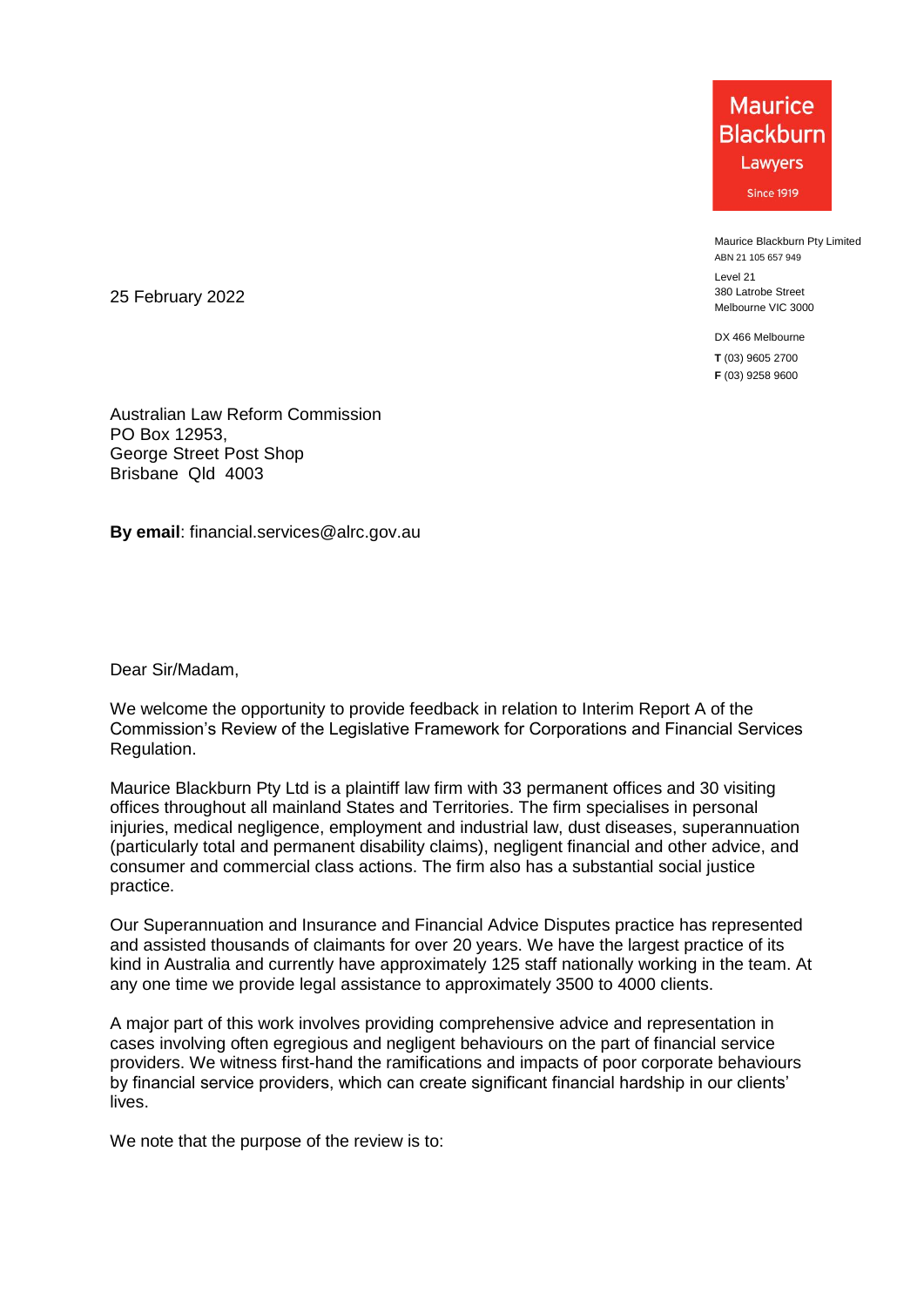**Maurice Blackburn** Lawyers **Since 1919** 

Maurice Blackburn Pty Limited ABN 21 105 657 949

Level 21 380 Latrobe Street Melbourne VIC 3000

DX 466 Melbourne **T** (03) 9605 2700 **F** (03) 9258 9600

25 February 2022

Australian Law Reform Commission PO Box 12953, George Street Post Shop Brisbane Qld 4003

**By email**: financial.services@alrc.gov.au

Dear Sir/Madam,

We welcome the opportunity to provide feedback in relation to Interim Report A of the Commission's Review of the Legislative Framework for Corporations and Financial Services Regulation.

Maurice Blackburn Pty Ltd is a plaintiff law firm with 33 permanent offices and 30 visiting offices throughout all mainland States and Territories. The firm specialises in personal injuries, medical negligence, employment and industrial law, dust diseases, superannuation (particularly total and permanent disability claims), negligent financial and other advice, and consumer and commercial class actions. The firm also has a substantial social justice practice.

Our Superannuation and Insurance and Financial Advice Disputes practice has represented and assisted thousands of claimants for over 20 years. We have the largest practice of its kind in Australia and currently have approximately 125 staff nationally working in the team. At any one time we provide legal assistance to approximately 3500 to 4000 clients.

A major part of this work involves providing comprehensive advice and representation in cases involving often egregious and negligent behaviours on the part of financial service providers. We witness first-hand the ramifications and impacts of poor corporate behaviours by financial service providers, which can create significant financial hardship in our clients' lives.

We note that the purpose of the review is to: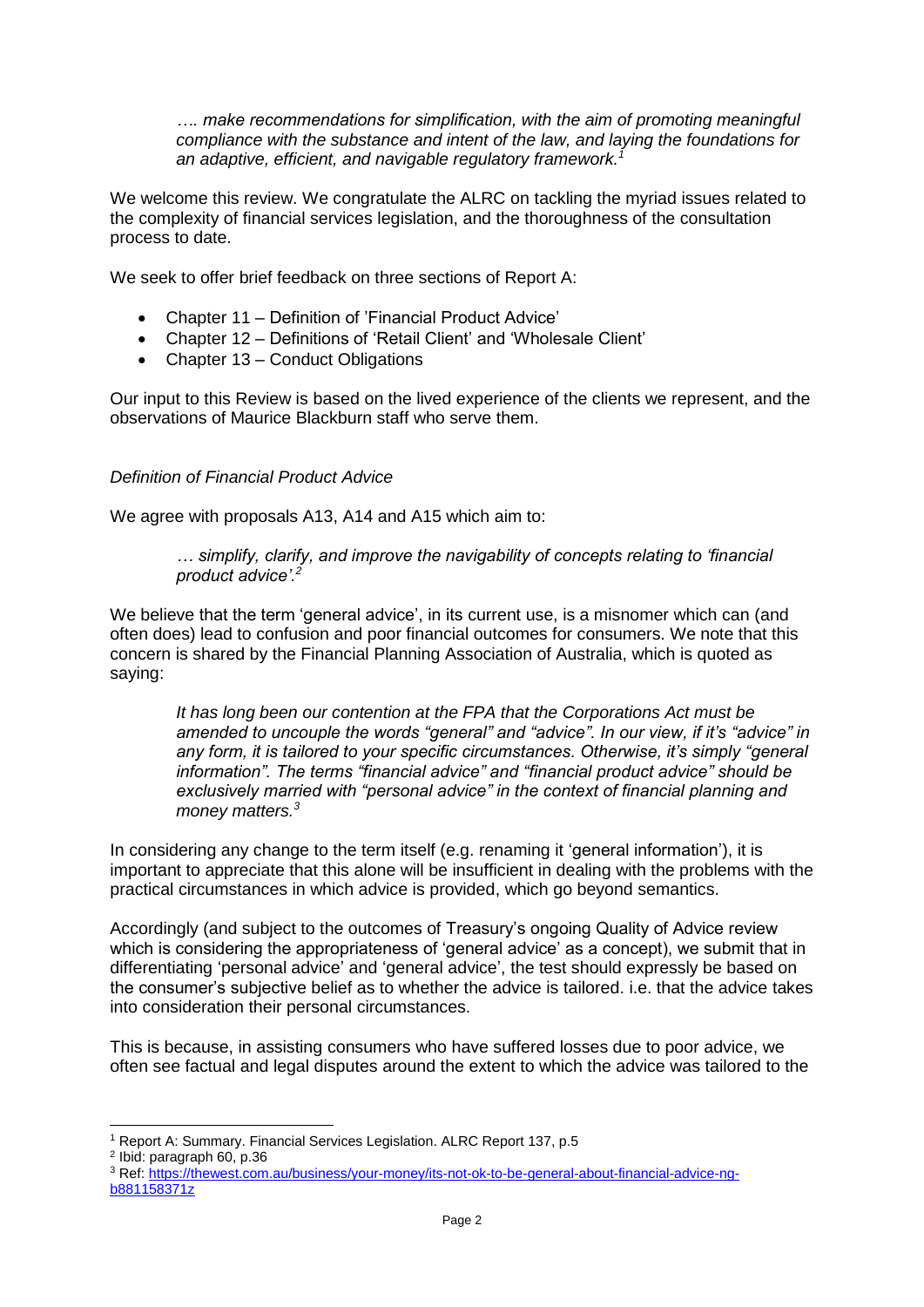*…. make recommendations for simplification, with the aim of promoting meaningful compliance with the substance and intent of the law, and laying the foundations for an adaptive, efficient, and navigable regulatory framework.<sup>1</sup>*

We welcome this review. We congratulate the ALRC on tackling the myriad issues related to the complexity of financial services legislation, and the thoroughness of the consultation process to date.

We seek to offer brief feedback on three sections of Report A:

- Chapter 11 Definition of 'Financial Product Advice'
- Chapter 12 Definitions of 'Retail Client' and 'Wholesale Client'
- Chapter 13 Conduct Obligations

Our input to this Review is based on the lived experience of the clients we represent, and the observations of Maurice Blackburn staff who serve them.

## *Definition of Financial Product Advice*

We agree with proposals A13, A14 and A15 which aim to:

*… simplify, clarify, and improve the navigability of concepts relating to 'financial product advice'.<sup>2</sup>*

We believe that the term 'general advice', in its current use, is a misnomer which can (and often does) lead to confusion and poor financial outcomes for consumers. We note that this concern is shared by the Financial Planning Association of Australia, which is quoted as saying:

*It has long been our contention at the FPA that the Corporations Act must be amended to uncouple the words "general" and "advice". In our view, if it's "advice" in any form, it is tailored to your specific circumstances. Otherwise, it's simply "general information". The terms "financial advice" and "financial product advice" should be exclusively married with "personal advice" in the context of financial planning and money matters.<sup>3</sup>*

In considering any change to the term itself (e.g. renaming it 'general information'), it is important to appreciate that this alone will be insufficient in dealing with the problems with the practical circumstances in which advice is provided, which go beyond semantics.

Accordingly (and subject to the outcomes of Treasury's ongoing Quality of Advice review which is considering the appropriateness of 'general advice' as a concept), we submit that in differentiating 'personal advice' and 'general advice', the test should expressly be based on the consumer's subjective belief as to whether the advice is tailored. i.e. that the advice takes into consideration their personal circumstances.

This is because, in assisting consumers who have suffered losses due to poor advice, we often see factual and legal disputes around the extent to which the advice was tailored to the

 $\overline{a}$ 

<sup>1</sup> Report A: Summary. Financial Services Legislation. ALRC Report 137, p.5

<sup>2</sup> Ibid: paragraph 60, p.36

<sup>3</sup> Ref: https://thewest.com.au/business/your-money/its-not-ok-to-be-general-about-financial-advice-ngb881158371z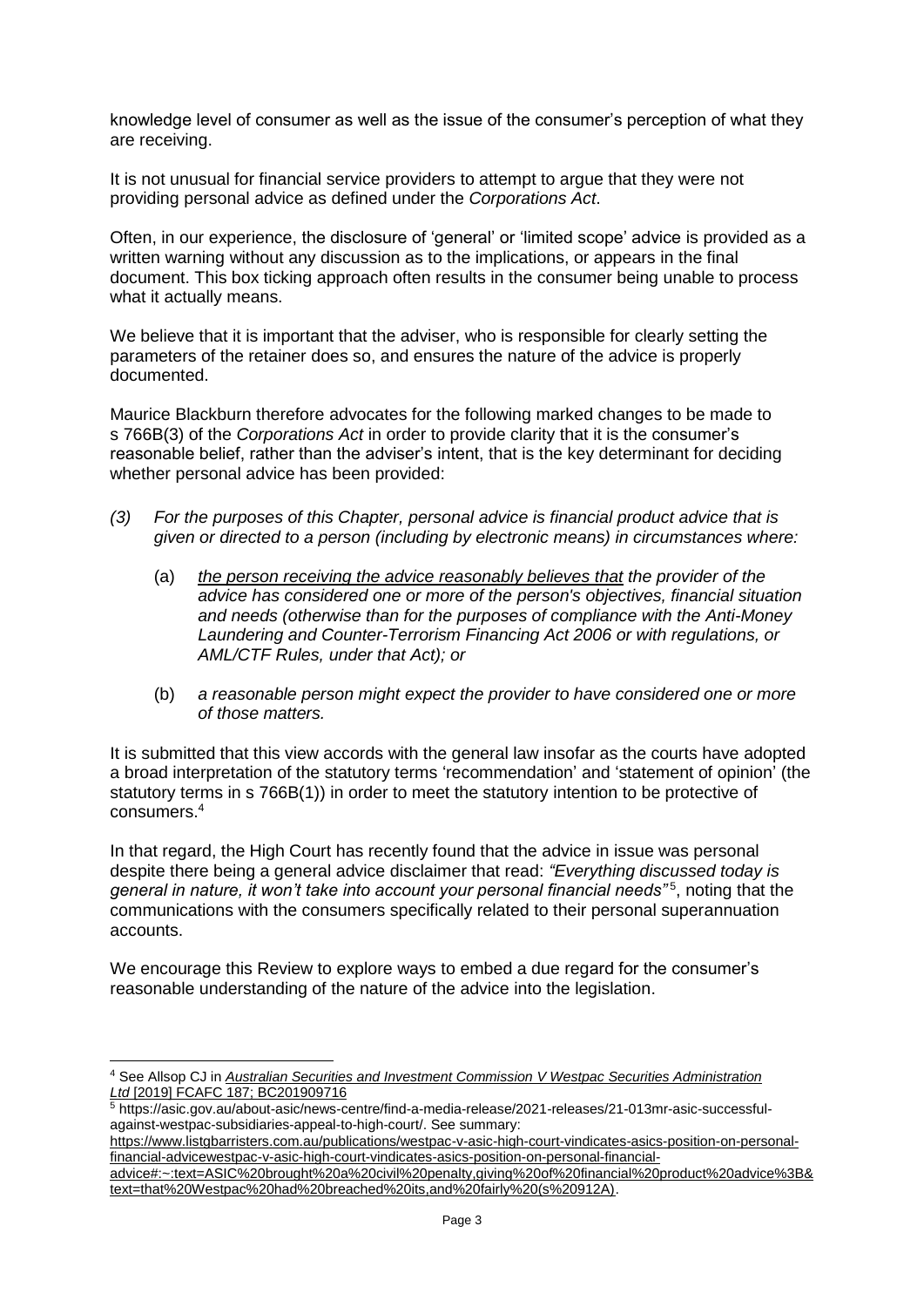knowledge level of consumer as well as the issue of the consumer's perception of what they are receiving.

It is not unusual for financial service providers to attempt to argue that they were not providing personal advice as defined under the *Corporations Act*.

Often, in our experience, the disclosure of 'general' or 'limited scope' advice is provided as a written warning without any discussion as to the implications, or appears in the final document. This box ticking approach often results in the consumer being unable to process what it actually means.

We believe that it is important that the adviser, who is responsible for clearly setting the parameters of the retainer does so, and ensures the nature of the advice is properly documented.

Maurice Blackburn therefore advocates for the following marked changes to be made to s 766B(3) of the *Corporations Act* in order to provide clarity that it is the consumer's reasonable belief, rather than the adviser's intent, that is the key determinant for deciding whether personal advice has been provided:

- *(3) For the purposes of this Chapter, personal advice is financial product advice that is given or directed to a person (including by electronic means) in circumstances where:*
	- (a) *the person receiving the advice reasonably believes that the provider of the advice has considered one or more of the person's objectives, financial situation and needs (otherwise than for the purposes of compliance with the Anti-Money Laundering and Counter-Terrorism Financing Act 2006 or with regulations, or AML/CTF Rules, under that Act); or*
	- (b) *a reasonable person might expect the provider to have considered one or more of those matters.*

It is submitted that this view accords with the general law insofar as the courts have adopted a broad interpretation of the statutory terms 'recommendation' and 'statement of opinion' (the statutory terms in s 766B(1)) in order to meet the statutory intention to be protective of consumers. 4

In that regard, the High Court has recently found that the advice in issue was personal despite there being a general advice disclaimer that read: *"Everything discussed today is*  general in nature, it won't take into account your personal financial needs"<sup>5</sup>, noting that the communications with the consumers specifically related to their personal superannuation accounts.

We encourage this Review to explore ways to embed a due regard for the consumer's reasonable understanding of the nature of the advice into the legislation.

<sup>4</sup> See Allsop CJ in *Australian Securities and Investment Commission V Westpac Securities Administration Ltd* [2019] FCAFC 187; BC201909716

<sup>5</sup> https://asic.gov.au/about-asic/news-centre/find-a-media-release/2021-releases/21-013mr-asic-successfulagainst-westpac-subsidiaries-appeal-to-high-court/. See summary:

https://www.listgbarristers.com.au/publications/westpac-v-asic-high-court-vindicates-asics-position-on-personalfinancial-advicewestpac-v-asic-high-court-vindicates-asics-position-on-personal-financial-

advice#:~:text=ASIC%20brought%20a%20civil%20penalty,giving%20of%20financial%20product%20advice%3B& text=that%20Westpac%20had%20breached%20its,and%20fairly%20(s%20912A).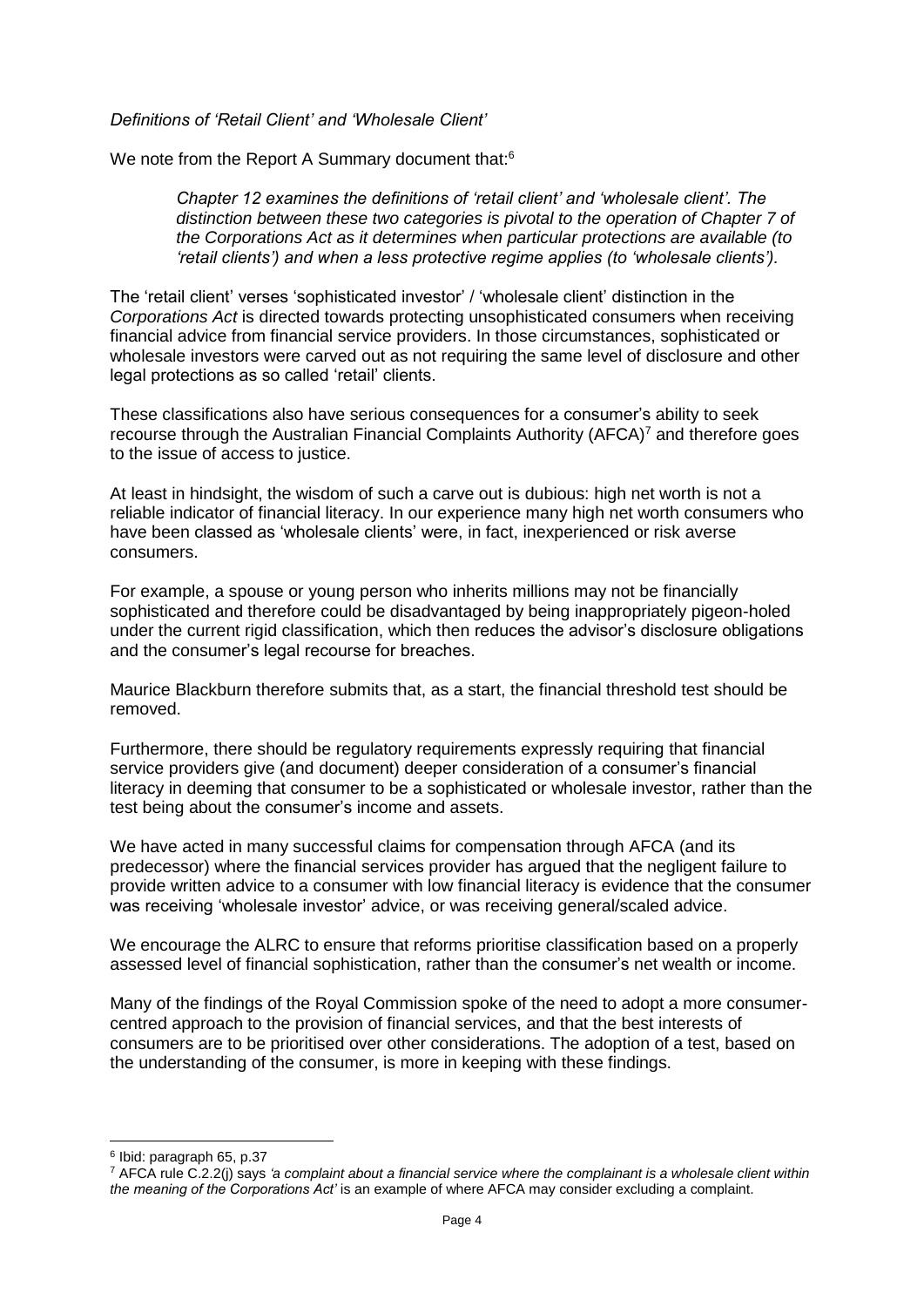*Definitions of 'Retail Client' and 'Wholesale Client'*

We note from the Report A Summary document that:<sup>6</sup>

*Chapter 12 examines the definitions of 'retail client' and 'wholesale client'. The distinction between these two categories is pivotal to the operation of Chapter 7 of the Corporations Act as it determines when particular protections are available (to 'retail clients') and when a less protective regime applies (to 'wholesale clients').*

The 'retail client' verses 'sophisticated investor' / 'wholesale client' distinction in the *Corporations Act* is directed towards protecting unsophisticated consumers when receiving financial advice from financial service providers. In those circumstances, sophisticated or wholesale investors were carved out as not requiring the same level of disclosure and other legal protections as so called 'retail' clients.

These classifications also have serious consequences for a consumer's ability to seek recourse through the Australian Financial Complaints Authority (AFCA)<sup>7</sup> and therefore goes to the issue of access to justice.

At least in hindsight, the wisdom of such a carve out is dubious: high net worth is not a reliable indicator of financial literacy. In our experience many high net worth consumers who have been classed as 'wholesale clients' were, in fact, inexperienced or risk averse consumers.

For example, a spouse or young person who inherits millions may not be financially sophisticated and therefore could be disadvantaged by being inappropriately pigeon-holed under the current rigid classification, which then reduces the advisor's disclosure obligations and the consumer's legal recourse for breaches.

Maurice Blackburn therefore submits that, as a start, the financial threshold test should be removed.

Furthermore, there should be regulatory requirements expressly requiring that financial service providers give (and document) deeper consideration of a consumer's financial literacy in deeming that consumer to be a sophisticated or wholesale investor, rather than the test being about the consumer's income and assets.

We have acted in many successful claims for compensation through AFCA (and its predecessor) where the financial services provider has argued that the negligent failure to provide written advice to a consumer with low financial literacy is evidence that the consumer was receiving 'wholesale investor' advice, or was receiving general/scaled advice.

We encourage the ALRC to ensure that reforms prioritise classification based on a properly assessed level of financial sophistication, rather than the consumer's net wealth or income.

Many of the findings of the Royal Commission spoke of the need to adopt a more consumercentred approach to the provision of financial services, and that the best interests of consumers are to be prioritised over other considerations. The adoption of a test, based on the understanding of the consumer, is more in keeping with these findings.

<sup>6</sup> Ibid: paragraph 65, p.37

<sup>7</sup> AFCA rule C.2.2(j) says *'a complaint about a financial service where the complainant is a wholesale client within the meaning of the Corporations Act'* is an example of where AFCA may consider excluding a complaint.